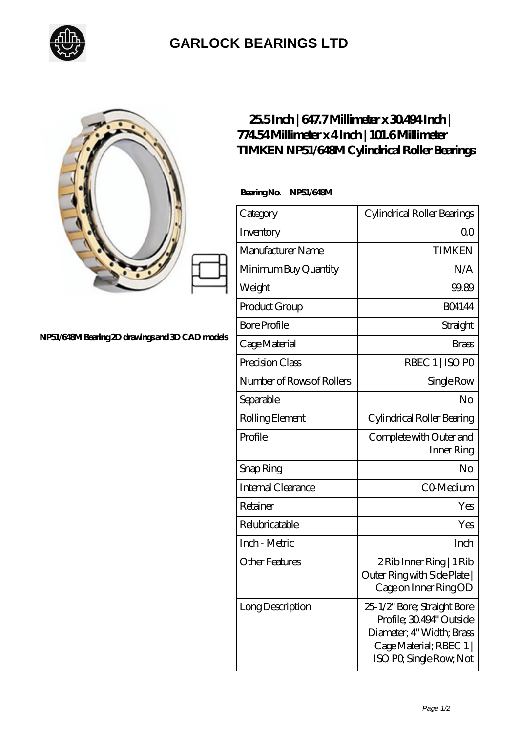

## **[GARLOCK BEARINGS LTD](https://m.letterstopriests.com)**

|                                                 | 255Inch   647.7Millimeter x 30494Inch  <br>77454Millimeterx4Inch   101.6Millimeter<br><b>TIMKEN NP51/648M Cylindrical Roller Bearings</b> |                                                                                                                                            |
|-------------------------------------------------|-------------------------------------------------------------------------------------------------------------------------------------------|--------------------------------------------------------------------------------------------------------------------------------------------|
|                                                 | Bearing No. NP51/648M                                                                                                                     |                                                                                                                                            |
|                                                 | Category                                                                                                                                  | Cylindrical Roller Bearings                                                                                                                |
|                                                 | Inventory                                                                                                                                 | 0 <sup>0</sup>                                                                                                                             |
|                                                 | Manufacturer Name                                                                                                                         | <b>TIMKEN</b>                                                                                                                              |
|                                                 | Minimum Buy Quantity                                                                                                                      | N/A                                                                                                                                        |
|                                                 | Weight                                                                                                                                    | 99.89                                                                                                                                      |
|                                                 | Product Group                                                                                                                             | <b>BO4144</b>                                                                                                                              |
|                                                 | <b>Bore Profile</b>                                                                                                                       | Straight                                                                                                                                   |
| NP51/648M Bearing 2D drawings and 3D CAD models | Cage Material                                                                                                                             | <b>Brass</b>                                                                                                                               |
|                                                 | Precision Class                                                                                                                           | RBEC 1   ISO PO                                                                                                                            |
|                                                 | Number of Rows of Rollers                                                                                                                 | Single Row                                                                                                                                 |
|                                                 | Separable                                                                                                                                 | N <sub>o</sub>                                                                                                                             |
|                                                 | Rolling Element                                                                                                                           | Cylindrical Roller Bearing                                                                                                                 |
|                                                 | Profile                                                                                                                                   | Complete with Outer and<br>Inner Ring                                                                                                      |
|                                                 | Snap Ring                                                                                                                                 | No                                                                                                                                         |
|                                                 | Internal Clearance                                                                                                                        | CO-Medium                                                                                                                                  |
|                                                 | Retainer                                                                                                                                  | Yes                                                                                                                                        |
|                                                 | Relubricatable                                                                                                                            | Yes                                                                                                                                        |
|                                                 | Inch - Metric                                                                                                                             | Inch                                                                                                                                       |
|                                                 | <b>Other Features</b>                                                                                                                     | $2$ Rib Inner Ring   1 Rib<br>Outer Ring with Side Plate  <br>Cage on Inner Ring OD                                                        |
|                                                 | Long Description                                                                                                                          | 25-1/2" Bore; Straight Bore<br>Profile; 30.494" Outside<br>Diameter; 4" Width; Brass<br>Cage Material; RBEC 1  <br>ISO PO, Single Row, Not |